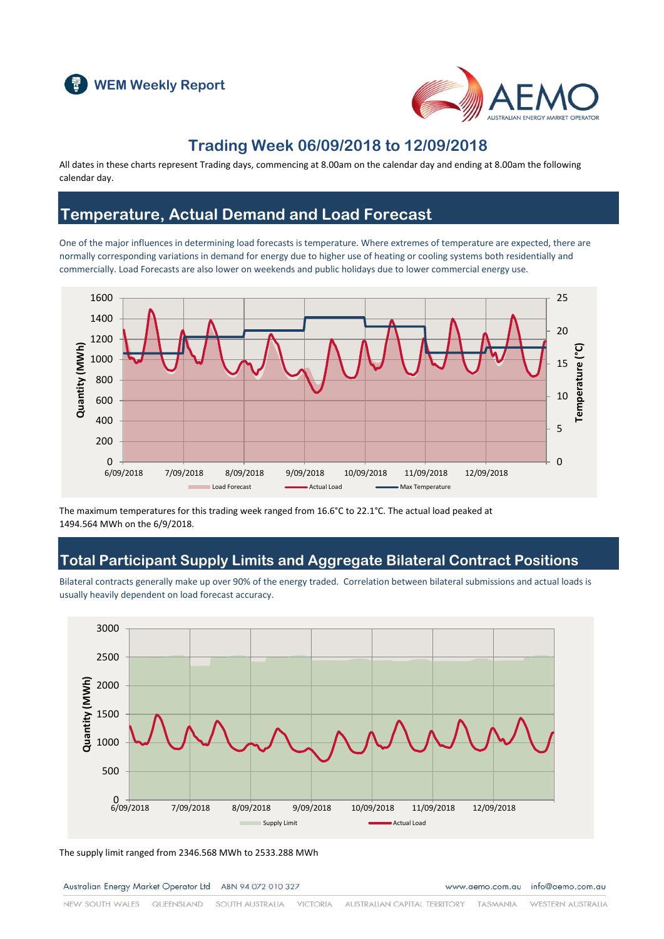



### **Trading Week 06/09/2018 to 12/09/2018**

All dates in these charts represent Trading days, commencing at 8.00am on the calendar day and ending at 8.00am the following calendar day.

### **Temperature, Actual Demand and Load Forecast**

One of the major influences in determining load forecasts is temperature. Where extremes of temperature are expected, there are normally corresponding variations in demand for energy due to higher use of heating or cooling systems both residentially and commercially. Load Forecasts are also lower on weekends and public holidays due to lower commercial energy use.



The maximum temperatures for this trading week ranged from 16.6°C to 22.1°C. The actual load peaked at 1494.564 MWh on the 6/9/2018.

### **Total Participant Supply Limits and Aggregate Bilateral Contract Positions**

Bilateral contracts generally make up over 90% of the energy traded. Correlation between bilateral submissions and actual loads is usually heavily dependent on load forecast accuracy.



The supply limit ranged from 2346.568 MWh to 2533.288 MWh

Australian Energy Market Operator Ltd ABN 94 072 010 327

www.aemo.com.au info@aemo.com.au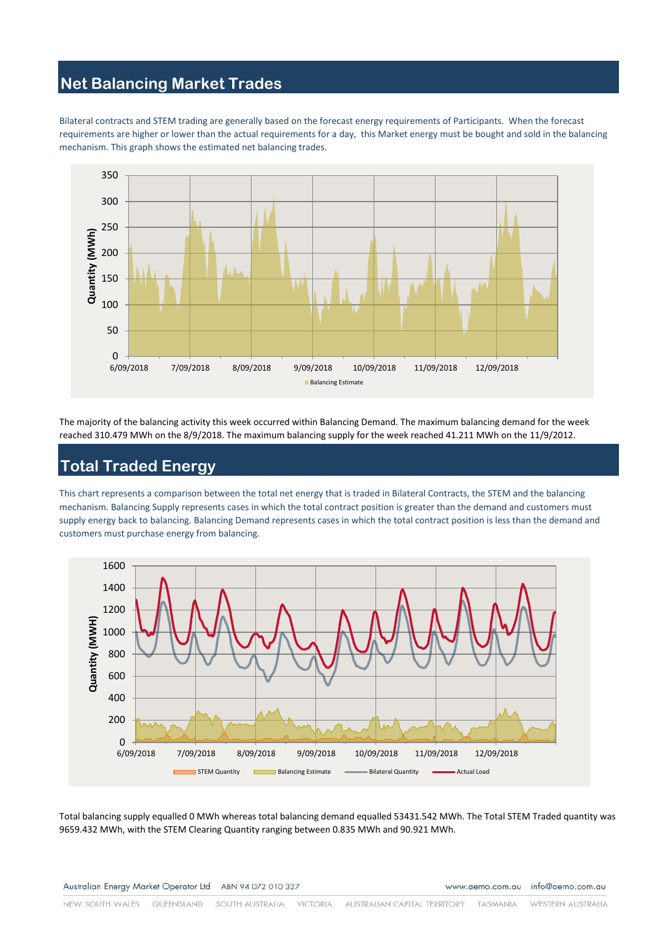# **Net Balancing Market Trades**

Bilateral contracts and STEM trading are generally based on the forecast energy requirements of Participants. When the forecast requirements are higher or lower than the actual requirements for a day, this Market energy must be bought and sold in the balancing mechanism. This graph shows the estimated net balancing trades.



The majority of the balancing activity this week occurred within Balancing Demand. The maximum balancing demand for the week reached 310.479 MWh on the 8/9/2018. The maximum balancing supply for the week reached 41.211 MWh on the 11/9/2012.

# **Total Traded Energy**

This chart represents a comparison between the total net energy that is traded in Bilateral Contracts, the STEM and the balancing mechanism. Balancing Supply represents cases in which the total contract position is greater than the demand and customers must supply energy back to balancing. Balancing Demand represents cases in which the total contract position is less than the demand and customers must purchase energy from balancing.



Total balancing supply equalled 0 MWh whereas total balancing demand equalled 53431.542 MWh. The Total STEM Traded quantity was 9659.432 MWh, with the STEM Clearing Quantity ranging between 0.835 MWh and 90.921 MWh.

www.aemo.com.au info@aemo.com.au